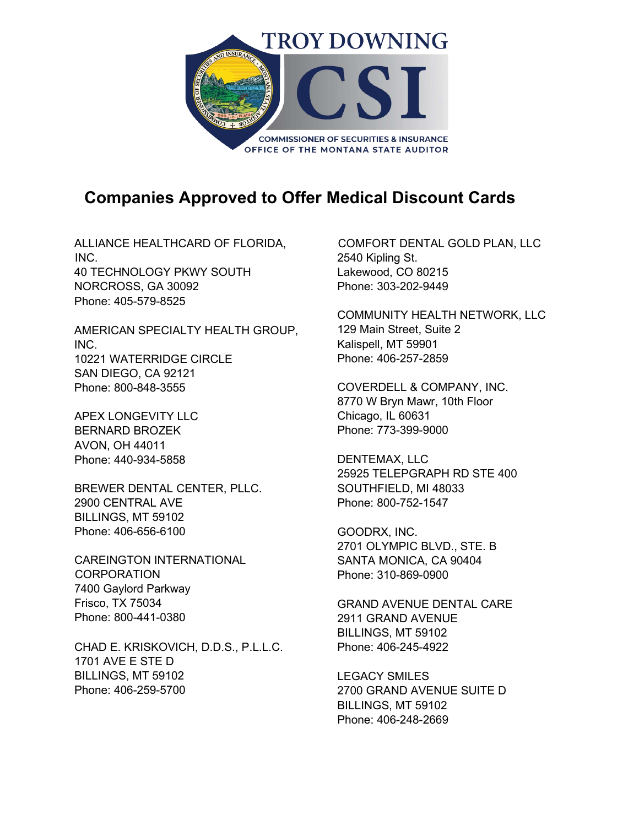

## **Companies Approved to Offer Medical Discount Cards**

ALLIANCE HEALTHCARD OF FLORIDA, INC. 40 TECHNOLOGY PKWY SOUTH NORCROSS, GA 30092 Phone: 405-579-8525

AMERICAN SPECIALTY HEALTH GROUP, INC. 10221 WATERRIDGE CIRCLE SAN DIEGO, CA 92121 Phone: 800-848-3555

APEX LONGEVITY LLC BERNARD BROZEK AVON, OH 44011 Phone: 440-934-5858

BREWER DENTAL CENTER, PLLC. 2900 CENTRAL AVE BILLINGS, MT 59102 Phone: 406-656-6100

CAREINGTON INTERNATIONAL **CORPORATION** 7400 Gaylord Parkway Frisco, TX 75034 Phone: 800-441-0380

CHAD E. KRISKOVICH, D.D.S., P.L.L.C. 1701 AVE E STE D BILLINGS, MT 59102 Phone: 406-259-5700

COMFORT DENTAL GOLD PLAN, LLC 2540 Kipling St. Lakewood, CO 80215 Phone: 303-202-9449

COMMUNITY HEALTH NETWORK, LLC 129 Main Street, Suite 2 Kalispell, MT 59901 Phone: 406-257-2859

COVERDELL & COMPANY, INC. 8770 W Bryn Mawr, 10th Floor Chicago, IL 60631 Phone: 773-399-9000

DENTEMAX, LLC 25925 TELEPGRAPH RD STE 400 SOUTHFIELD, MI 48033 Phone: 800-752-1547

GOODRX, INC. 2701 OLYMPIC BLVD., STE. B SANTA MONICA, CA 90404 Phone: 310-869-0900

GRAND AVENUE DENTAL CARE 2911 GRAND AVENUE BILLINGS, MT 59102 Phone: 406-245-4922

LEGACY SMILES 2700 GRAND AVENUE SUITE D BILLINGS, MT 59102 Phone: 406-248-2669